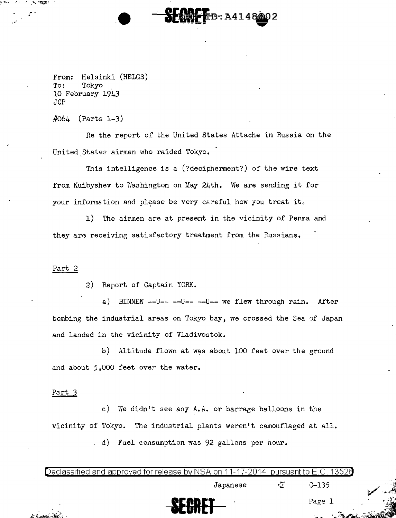From: Helsinki (HELGS)<br>To: Tokyo Tokyo 10 February 1943 JCP

 $#064$  (Parts 1-3)

·'

 $\mathbb{F}_2$  $-10.5$ 

> Re the report of the United States Attache in Russia on the United States airmen who raided Tokyo.

**DESPECT**ED: A4148802  $\mathbf{m}$ 

This intelligence is a (?decipherment?) of the wire text from Kuibyshev to Washington on May 24th. We are sending it for your information and please be very careful how you treat it.

1) The airmen are at present in the vicinity of Penza and they arc receiving satisfactory treatment from the Russians.

## Part 2

2) Report of Captain YORK.

a) BINNEN --U-- --U-- --U-- we flew through rain. After bombing the industrial areas on Tokyo bay, we crossed the Sea of Japan and landed in the vicinity of Vladivostok.

b) Altitude flown at was about 100 feet over the ground and about 5,000 feet over the water.

## Part 3

c) We didn't see any A.A. or barrage balloons in the vicinity of Tokyo. The industrial plants weren't camouflaged at all.

d) Fuel consumption was 92 gallons per hour.

| SECRET                                                                                    |          | Page    |  |
|-------------------------------------------------------------------------------------------|----------|---------|--|
|                                                                                           | Japanese | $C-135$ |  |
| Declassified and approved for release by NSA on 11-17-2014 pursuant to E.O. 1352 $\theta$ |          |         |  |